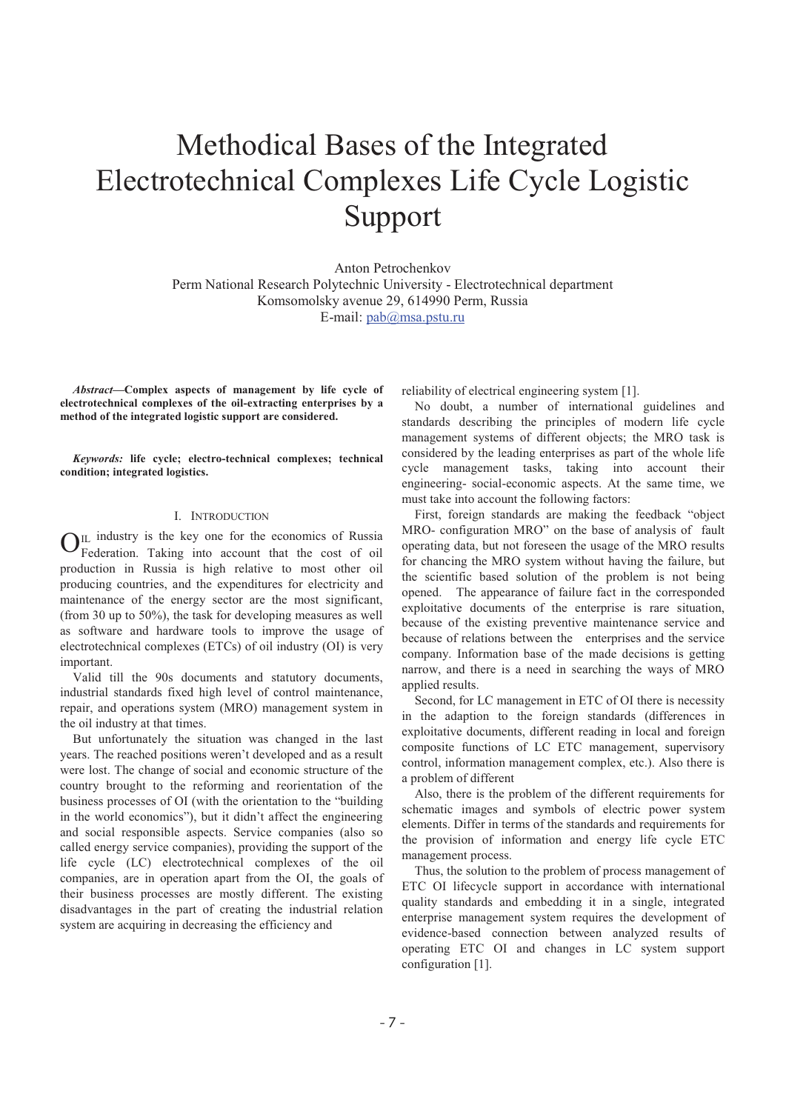# Methodical Bases of the Integrated Electrotechnical Complexes Life Cycle Logistic Support

Anton Petrochenkov Perm National Research Polytechnic University - Electrotechnical department Komsomolsky avenue 29, 614990 Perm, Russia E-mail: pab@msa.pstu.ru

*Abstract***-Complex aspects of management by life cycle of electrotechnical complexes of the oil-extracting enterprises by a method of the integrated logistic support are considered.** 

*Keywords:* **life cycle; electro-technical complexes; technical condition; integrated logistics.** 

## I. INTRODUCTION

 $_{\text{IL}}$  industry is the key one for the economics of Russia  $\mathbf{O}_{\text{Federation}}$ . Taking into account that the cost of oil production in Russia is high relative to most other oil producing countries, and the expenditures for electricity and maintenance of the energy sector are the most significant, (from 30 up to 50%), the task for developing measures as well as software and hardware tools to improve the usage of electrotechnical complexes (ETCs) of oil industry (OI) is very important.

Valid till the 90s documents and statutory documents, industrial standards fixed high level of control maintenance, repair, and operations system (MRO) management system in the oil industry at that times.

But unfortunately the situation was changed in the last years. The reached positions weren't developed and as a result were lost. The change of social and economic structure of the country brought to the reforming and reorientation of the business processes of OI (with the orientation to the "building in the world economics"), but it didn't affect the engineering and social responsible aspects. Service companies (also so called energy service companies), providing the support of the life cycle (LC) electrotechnical complexes of the oil companies, are in operation apart from the OI, the goals of their business processes are mostly different. The existing disadvantages in the part of creating the industrial relation system are acquiring in decreasing the efficiency and

reliability of electrical engineering system [1].

No doubt, a number of international guidelines and standards describing the principles of modern life cycle management systems of different objects; the MRO task is considered by the leading enterprises as part of the whole life cycle management tasks, taking into account their engineering- social-economic aspects. At the same time, we must take into account the following factors:

First, foreign standards are making the feedback "object MRO- configuration MRO" on the base of analysis of fault operating data, but not foreseen the usage of the MRO results for chancing the MRO system without having the failure, but the scientific based solution of the problem is not being opened. The appearance of failure fact in the corresponded exploitative documents of the enterprise is rare situation, because of the existing preventive maintenance service and because of relations between the enterprises and the service company. Information base of the made decisions is getting narrow, and there is a need in searching the ways of MRO applied results.

Second, for LC management in ETC of OI there is necessity in the adaption to the foreign standards (differences in exploitative documents, different reading in local and foreign composite functions of LC ETC management, supervisory control, information management complex, etc.). Also there is a problem of different

Also, there is the problem of the different requirements for schematic images and symbols of electric power system elements. Differ in terms of the standards and requirements for the provision of information and energy life cycle ETC management process.

Thus, the solution to the problem of process management of ETC OI lifecycle support in accordance with international quality standards and embedding it in a single, integrated enterprise management system requires the development of evidence-based connection between analyzed results of operating ETC OI and changes in LC system support configuration [1].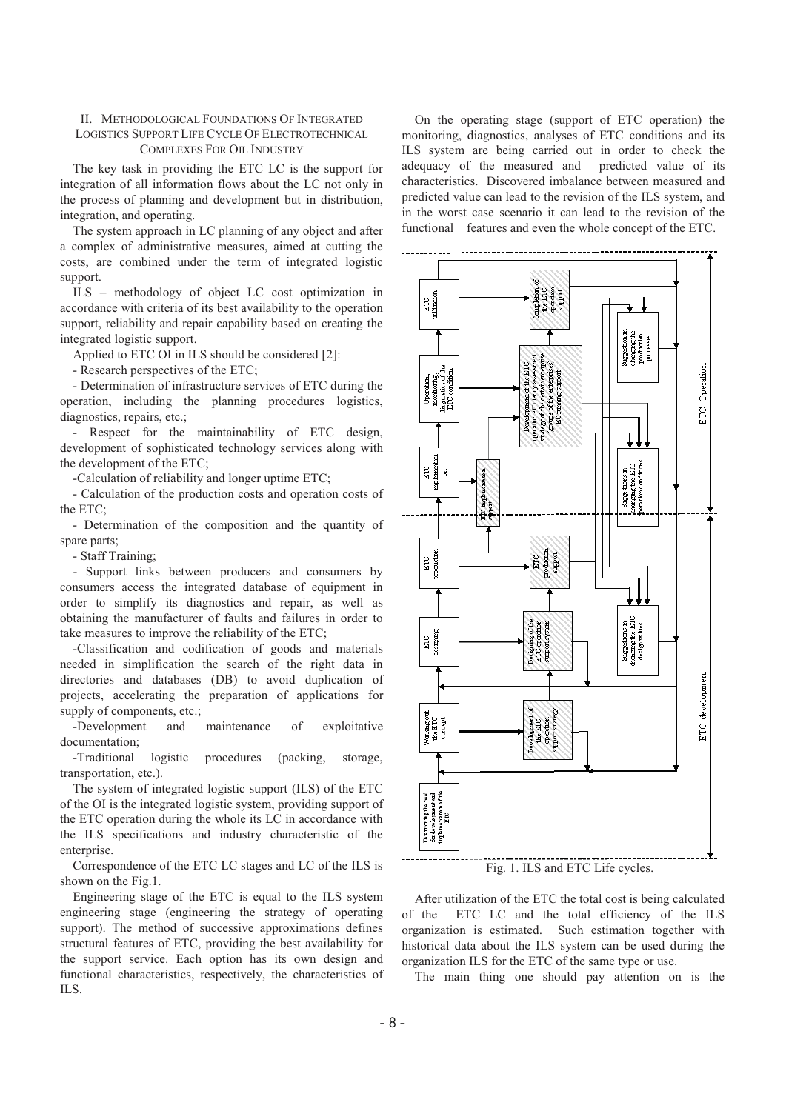### II. METHODOLOGICAL FOUNDATIONS OF INTEGRATED LOGISTICS SUPPORT LIFE CYCLE OF ELECTROTECHNICAL COMPLEXES FOR OIL INDUSTRY

The key task in providing the ETC LC is the support for integration of all information flows about the LC not only in the process of planning and development but in distribution, integration, and operating.

The system approach in LC planning of any object and after a complex of administrative measures, aimed at cutting the costs, are combined under the term of integrated logistic support.

ILS – methodology of object LC cost optimization in accordance with criteria of its best availability to the operation support, reliability and repair capability based on creating the integrated logistic support.

Applied to ETC OI in ILS should be considered [2]:

- Research perspectives of the ETC;

- Determination of infrastructure services of ETC during the operation, including the planning procedures logistics, diagnostics, repairs, etc.;

- Respect for the maintainability of ETC design, development of sophisticated technology services along with the development of the ETC;

-Calculation of reliability and longer uptime ETC;

- Calculation of the production costs and operation costs of the ETC;

- Determination of the composition and the quantity of spare parts;

- Staff Training;

- Support links between producers and consumers by consumers access the integrated database of equipment in order to simplify its diagnostics and repair, as well as obtaining the manufacturer of faults and failures in order to take measures to improve the reliability of the ETC;

-Classification and codification of goods and materials needed in simplification the search of the right data in directories and databases (DB) to avoid duplication of projects, accelerating the preparation of applications for supply of components, etc.;

-Development and maintenance of exploitative documentation;

-Traditional logistic procedures (packing, storage, transportation, etc.).

The system of integrated logistic support (ILS) of the ETC of the OI is the integrated logistic system, providing support of the ETC operation during the whole its LC in accordance with the ILS specifications and industry characteristic of the enterprise.

Correspondence of the ETC LC stages and LC of the ILS is shown on the Fig.1.

Engineering stage of the ETC is equal to the ILS system engineering stage (engineering the strategy of operating support). The method of successive approximations defines structural features of ETC, providing the best availability for the support service. Each option has its own design and functional characteristics, respectively, the characteristics of ILS.

On the operating stage (support of ETC operation) the monitoring, diagnostics, analyses of ETC conditions and its ILS system are being carried out in order to check the adequacy of the measured and predicted value of its characteristics. Discovered imbalance between measured and predicted value can lead to the revision of the ILS system, and in the worst case scenario it can lead to the revision of the functional features and even the whole concept of the ETC.



Fig. 1. ILS and ETC Life cycles.

After utilization of the ETC the total cost is being calculated of the ETC LC and the total efficiency of the ILS organization is estimated. Such estimation together with historical data about the ILS system can be used during the organization ILS for the ETC of the same type or use.

The main thing one should pay attention on is the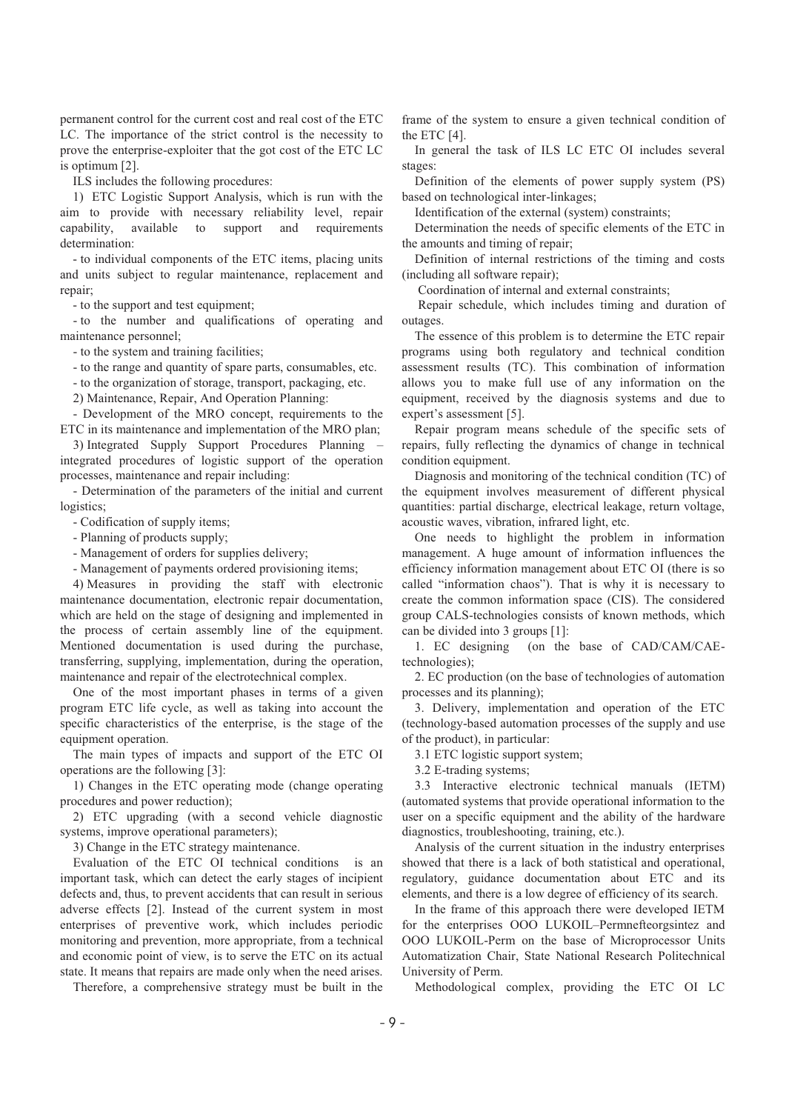permanent control for the current cost and real cost of the ETC LC. The importance of the strict control is the necessity to prove the enterprise-exploiter that the got cost of the ETC LC is optimum [2].

ILS includes the following procedures:

1) ETC Logistic Support Analysis, which is run with the aim to provide with necessary reliability level, repair capability, available to support and requirements determination:

- to individual components of the ETC items, placing units and units subject to regular maintenance, replacement and repair;

- to the support and test equipment;

- to the number and qualifications of operating and maintenance personnel;

- to the system and training facilities;

- to the range and quantity of spare parts, consumables, etc.

- to the organization of storage, transport, packaging, etc.

2) Maintenance, Repair, And Operation Planning:

- Development of the MRO concept, requirements to the ETC in its maintenance and implementation of the MRO plan;

3) Integrated Supply Support Procedures Planning – integrated procedures of logistic support of the operation processes, maintenance and repair including:

- Determination of the parameters of the initial and current logistics;

- Codification of supply items;

- Planning of products supply;

- Management of orders for supplies delivery;

- Management of payments ordered provisioning items;

4) Measures in providing the staff with electronic maintenance documentation, electronic repair documentation, which are held on the stage of designing and implemented in the process of certain assembly line of the equipment. Mentioned documentation is used during the purchase, transferring, supplying, implementation, during the operation, maintenance and repair of the electrotechnical complex.

One of the most important phases in terms of a given program ETC life cycle, as well as taking into account the specific characteristics of the enterprise, is the stage of the equipment operation.

The main types of impacts and support of the ETC OI operations are the following [3]:

1) Changes in the ETC operating mode (change operating procedures and power reduction);

2) ETC upgrading (with a second vehicle diagnostic systems, improve operational parameters);

3) Change in the ETC strategy maintenance.

Evaluation of the ETC OI technical conditions is an important task, which can detect the early stages of incipient defects and, thus, to prevent accidents that can result in serious adverse effects [2]. Instead of the current system in most enterprises of preventive work, which includes periodic monitoring and prevention, more appropriate, from a technical and economic point of view, is to serve the ETC on its actual state. It means that repairs are made only when the need arises.

Therefore, a comprehensive strategy must be built in the

frame of the system to ensure a given technical condition of the ETC [4].

In general the task of ILS LC ETC OI includes several stages:

Definition of the elements of power supply system (PS) based on technological inter-linkages;

Identification of the external (system) constraints;

Determination the needs of specific elements of the ETC in the amounts and timing of repair;

Definition of internal restrictions of the timing and costs (including all software repair);

Coordination of internal and external constraints;

 Repair schedule, which includes timing and duration of outages.

The essence of this problem is to determine the ETC repair programs using both regulatory and technical condition assessment results (TC). This combination of information allows you to make full use of any information on the equipment, received by the diagnosis systems and due to expert's assessment [5].

Repair program means schedule of the specific sets of repairs, fully reflecting the dynamics of change in technical condition equipment.

Diagnosis and monitoring of the technical condition (TC) of the equipment involves measurement of different physical quantities: partial discharge, electrical leakage, return voltage, acoustic waves, vibration, infrared light, etc.

One needs to highlight the problem in information management. A huge amount of information influences the efficiency information management about ETC OI (there is so called "information chaos"). That is why it is necessary to create the common information space (CIS). The considered group CALS-technologies consists of known methods, which can be divided into 3 groups [1]:

1. EC designi (on the base of CAD/CAM/CAEtechnologies);

2. EC production (on the base of technologies of automation processes and its planning);

3. Delivery, implementation and operation of the ETC (technology-based automation processes of the supply and use of the product), in particular:

3.1 ETC logistic support system;

3.2 E-trading systems;

3.3 Interactive electronic technical manuals (IETM) (automated systems that provide operational information to the user on a specific equipment and the ability of the hardware diagnostics, troubleshooting, training, etc.).

Analysis of the current situation in the industry enterprises showed that there is a lack of both statistical and operational, regulatory, guidance documentation about ETC and its elements, and there is a low degree of efficiency of its search.

In the frame of this approach there were developed IETM for the enterprises OOO LUKOIL–Permnefteorgsintez and OOO LUKOIL-Perm on the base of Microprocessor Units Automatization Chair, State National Research Politechnical University of Perm.

Methodological complex, providing the ETC OI LC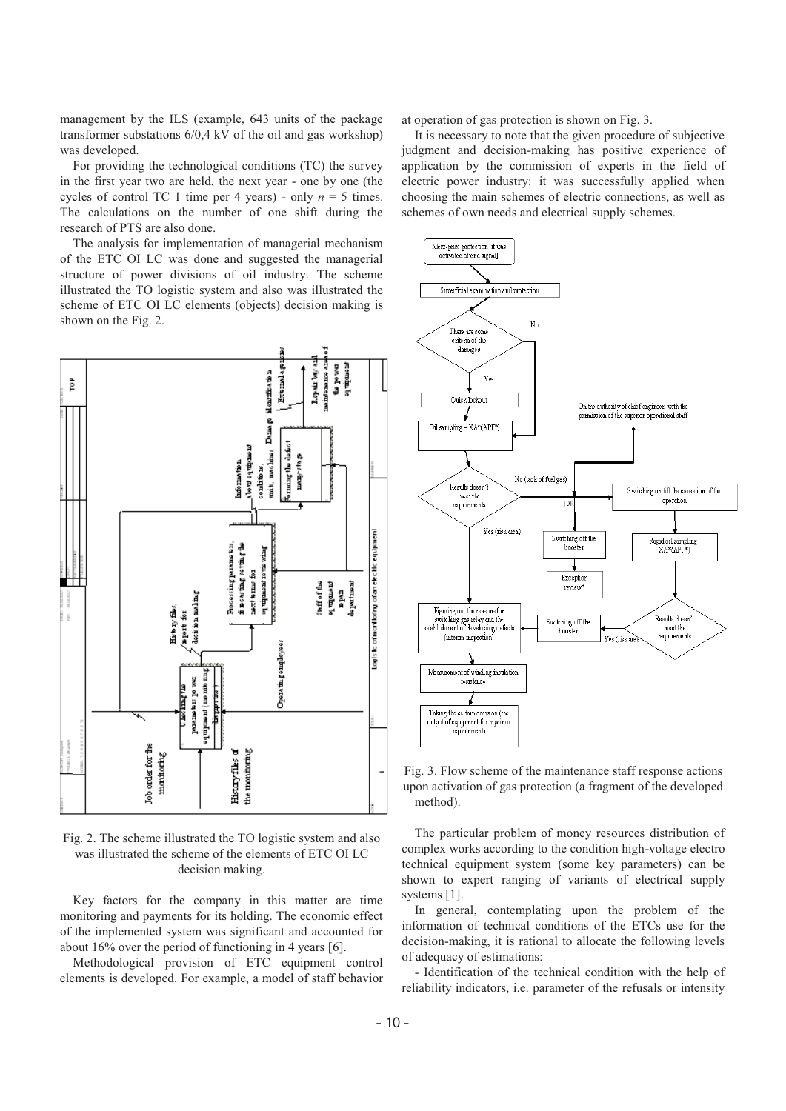management by the ILS (example, 643 units of the package transformer substations 6/0,4 kV of the oil and gas workshop) was developed.

For providing the technological conditions (TC) the survey in the first year two are held, the next year - one by one (the cycles of control TC 1 time per 4 years) - only  $n = 5$  times. The calculations on the number of one shift during the research of PTS are also done.

The analysis for implementation of managerial mechanism of the ETC OI LC was done and suggested the managerial structure of power divisions of oil industry. The scheme illustrated the TO logistic system and also was illustrated the scheme of ETC OI LC elements (objects) decision making is shown on the Fig. 2.



Fig. 2. The scheme illustrated the TO logistic system and also was illustrated the scheme of the elements of ETC OI LC decision making.

Key factors for the company in this matter are time monitoring and payments for its holding. The economic effect of the implemented system was significant and accounted for about 16% over the period of functioning in 4 years [6].

Methodological provision of ETC equipment control elements is developed. For example, a model of staff behavior at operation of gas protection is shown on Fig. 3.

It is necessary to note that the given procedure of subjective judgment and decision-making has positive experience of application by the commission of experts in the field of electric power industry: it was successfully applied when choosing the main schemes of electric connections, as well as schemes of own needs and electrical supply schemes.





The particular problem of money resources distribution of complex works according to the condition high-voltage electro technical equipment system (some key parameters) can be shown to expert ranging of variants of electrical supply systems [1].

In general, contemplating upon the problem of the information of technical conditions of the ETCs use for the decision-making, it is rational to allocate the following levels of adequacy of estimations:

- Identification of the technical condition with the help of reliability indicators, i.e. parameter of the refusals or intensity